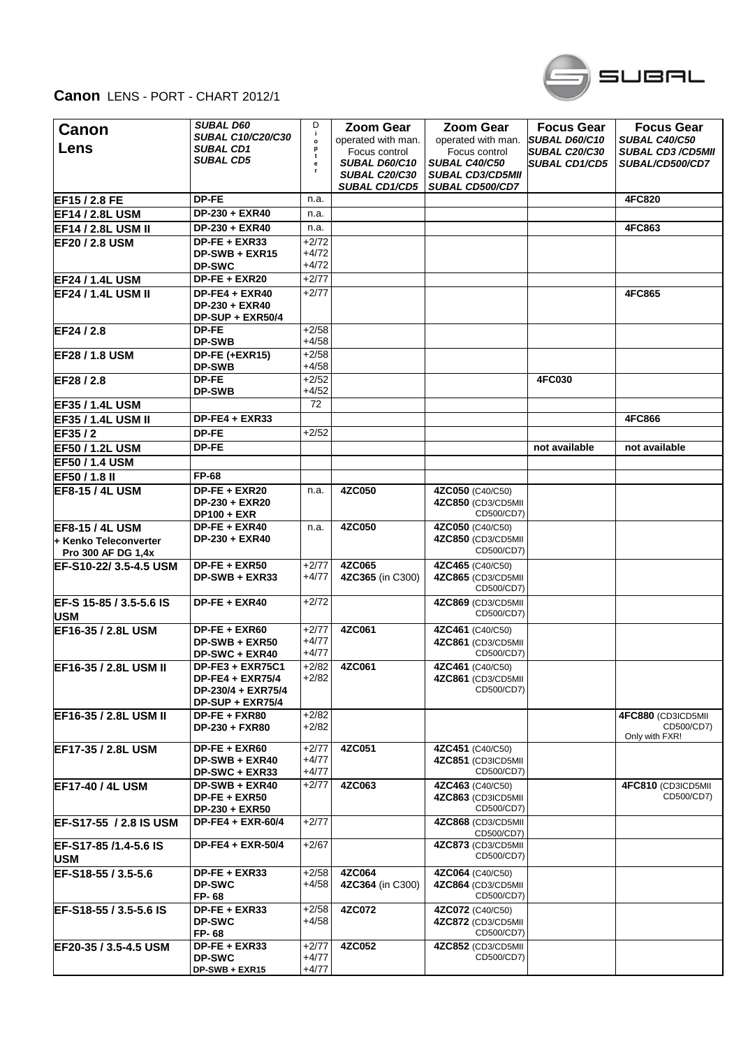

## **Canon** LENS - PORT - CHART 2012/1

| Canon<br>Lens                               | <b>SUBAL D60</b><br><b>SUBAL C10/C20/C30</b><br><b>SUBAL CD1</b>                      | D<br>j.<br>$\mathbf{o}$       | <b>Zoom Gear</b><br>operated with man.                 | <b>Zoom Gear</b><br>operated with man.                           | <b>Focus Gear</b><br>SUBAL D60/C10           | <b>Focus Gear</b><br>SUBAL C40/C50                 |
|---------------------------------------------|---------------------------------------------------------------------------------------|-------------------------------|--------------------------------------------------------|------------------------------------------------------------------|----------------------------------------------|----------------------------------------------------|
|                                             | <b>SUBAL CD5</b>                                                                      | p<br>t<br>е                   | Focus control<br>SUBAL D60/C10<br><b>SUBAL C20/C30</b> | Focus control<br><b>SUBAL C40/C50</b><br><b>SUBAL CD3/CD5MII</b> | <b>SUBAL C20/C30</b><br><b>SUBAL CD1/CD5</b> | <b>SUBAL CD3 /CD5MII</b><br>SUBAL/CD500/CD7        |
|                                             |                                                                                       |                               | <b>SUBAL CD1/CD5</b>                                   | SUBAL CD500/CD7                                                  |                                              |                                                    |
| EF15 / 2.8 FE                               | DP-FE                                                                                 | n.a.                          |                                                        |                                                                  |                                              | <b>4FC820</b>                                      |
| <b>EF14/2.8LUSM</b>                         | DP-230 + EXR40                                                                        | n.a.                          |                                                        |                                                                  |                                              |                                                    |
| <b>EF14 / 2.8L USM II</b>                   | DP-230 + EXR40                                                                        | n.a.                          |                                                        |                                                                  |                                              | 4FC863                                             |
| <b>EF20 / 2.8 USM</b>                       | DP-FE + EXR33                                                                         | +2/72                         |                                                        |                                                                  |                                              |                                                    |
|                                             | DP-SWB + EXR15<br><b>DP-SWC</b>                                                       | +4/72<br>+4/72                |                                                        |                                                                  |                                              |                                                    |
| <b>EF24 / 1.4L USM</b>                      | DP-FE + EXR20                                                                         | $+2/77$                       |                                                        |                                                                  |                                              |                                                    |
| <b>EF24 / 1.4L USM II</b>                   | $DP-FE4 + EXR40$<br>DP-230 + EXR40<br>DP-SUP + EXR50/4                                | $+2/77$                       |                                                        |                                                                  |                                              | 4FC865                                             |
| EF24 / 2.8                                  | <b>DP-FE</b><br><b>DP-SWB</b>                                                         | $+2/58$<br>$+4/58$            |                                                        |                                                                  |                                              |                                                    |
| EF28 / 1.8 USM                              | DP-FE (+EXR15)<br><b>DP-SWB</b>                                                       | $+2/58$<br>$+4/58$            |                                                        |                                                                  |                                              |                                                    |
| EF28 / 2.8                                  | <b>DP-FE</b><br><b>DP-SWB</b>                                                         | $+2/52$<br>$+4/52$            |                                                        |                                                                  | <b>4FC030</b>                                |                                                    |
| <b>EF35 / 1.4L USM</b>                      |                                                                                       | 72                            |                                                        |                                                                  |                                              |                                                    |
| <b>EF35 / 1.4L USM II</b>                   | DP-FE4 + EXR33                                                                        |                               |                                                        |                                                                  |                                              | 4FC866                                             |
| EF35/2                                      | DP-FE                                                                                 | $+2/52$                       |                                                        |                                                                  |                                              |                                                    |
| EF50 / 1.2L USM                             | DP-FE                                                                                 |                               |                                                        |                                                                  | not available                                | not available                                      |
| <b>EF50 / 1.4 USM</b>                       |                                                                                       |                               |                                                        |                                                                  |                                              |                                                    |
| EF50 / 1.8 II                               | FP-68                                                                                 |                               |                                                        |                                                                  |                                              |                                                    |
| <b>EF8-15 / 4L USM</b>                      | DP-FE + EXR20<br>DP-230 + EXR20<br><b>DP100 + EXR</b>                                 | n.a.                          | 4ZC050                                                 | 4ZC050 (C40/C50)<br>4ZC850 (CD3/CD5MII<br>CD500/CD7)             |                                              |                                                    |
| <b>IEF8-15 / 4L USM</b>                     | DP-FE + EXR40                                                                         | n.a.                          | 4ZC050                                                 | 4ZC050 (C40/C50)                                                 |                                              |                                                    |
| + Kenko Teleconverter<br>Pro 300 AF DG 1,4x | DP-230 + EXR40                                                                        |                               |                                                        | 4ZC850 (CD3/CD5MII<br>CD500/CD7)                                 |                                              |                                                    |
| EF-S10-22/3.5-4.5 USM                       | DP-FE + EXR50<br>DP-SWB + EXR33                                                       | $+2/77$<br>+4/77              | 4ZC065<br>4ZC365 (in C300)                             | 4ZC465 (C40/C50)<br>4ZC865 (CD3/CD5MII<br>CD500/CD7)             |                                              |                                                    |
| EF-S 15-85 / 3.5-5.6 IS<br>USM              | DP-FE + EXR40                                                                         | $+2/72$                       |                                                        | 4ZC869 (CD3/CD5MII<br>CD500/CD7)                                 |                                              |                                                    |
| EF16-35 / 2.8L USM                          | $DP-FE + EXR60$<br>DP-SWB + EXR50<br><b>DP-SWC + EXR40</b>                            | $+2/77$<br>+4/77<br>$+4/77$   | 4ZC061                                                 | 4ZC461 (C40/C50)<br>4ZC861 (CD3/CD5MII<br>CD500/CD7)             |                                              |                                                    |
| EF16-35 / 2.8L USM II                       | DP-FE3 + EXR75C1<br><b>DP-FE4 + EXR75/4</b><br>DP-230/4 + EXR75/4<br>DP-SUP + EXR75/4 | $+2/82$<br>$+2/82$            | 4ZC061                                                 | 4ZC461 (C40/C50)<br>4ZC861 (CD3/CD5MII<br>CD500/CD7)             |                                              |                                                    |
| EF16-35 / 2.8L USM II                       | DP-FE + FXR80<br>DP-230 + FXR80                                                       | $+2/82$<br>$+2/82$            |                                                        |                                                                  |                                              | 4FC880 (CD3ICD5MII<br>CD500/CD7)<br>Only with FXR! |
| EF17-35 / 2.8L USM                          | DP-FE + EXR60<br>DP-SWB + EXR40<br>DP-SWC + EXR33                                     | $+2/77$<br>+4/77<br>$+4/77$   | 4ZC051                                                 | 4ZC451 (C40/C50)<br>4ZC851 (CD3ICD5MII<br>CD500/CD7)             |                                              |                                                    |
| <b>EF17-40 / 4L USM</b>                     | DP-SWB + EXR40<br>DP-FE + EXR50<br>DP-230 + EXR50                                     | $+2/77$                       | 4ZC063                                                 | 4ZC463 (C40/C50)<br>4ZC863 (CD3ICD5MII<br>CD500/CD7)             |                                              | 4FC810 (CD3ICD5MII<br>CD500/CD7)                   |
| EF-S17-55 / 2.8 IS USM                      | $DP-FE4 + EXR-60/4$                                                                   | $+2/77$                       |                                                        | 4ZC868 (CD3/CD5MII<br>CD500/CD7)                                 |                                              |                                                    |
| EF-S17-85 /1.4-5.6 IS<br><b>USM</b>         | DP-FE4 + EXR-50/4                                                                     | $+2/67$                       |                                                        | 4ZC873 (CD3/CD5MII<br>CD500/CD7)                                 |                                              |                                                    |
| EF-S18-55 / 3.5-5.6                         | DP-FE + EXR33<br><b>DP-SWC</b><br>FP-68                                               | $+2/58$<br>+4/58              | 4ZC064<br>4ZC364 (in C300)                             | 4ZC064 (C40/C50)<br>4ZC864 (CD3/CD5MII<br>CD500/CD7)             |                                              |                                                    |
| EF-S18-55 / 3.5-5.6 IS                      | DP-FE + EXR33<br><b>DP-SWC</b><br>FP-68                                               | $+2/58$<br>+4/58              | 4ZC072                                                 | 4ZC072 (C40/C50)<br>4ZC872 (CD3/CD5MII<br>CD500/CD7)             |                                              |                                                    |
| EF20-35 / 3.5-4.5 USM                       | DP-FE + EXR33<br><b>DP-SWC</b><br>DP-SWB + EXR15                                      | $+2/77$<br>$+4/77$<br>$+4/77$ | 4ZC052                                                 | 4ZC852 (CD3/CD5MII<br>CD500/CD7)                                 |                                              |                                                    |